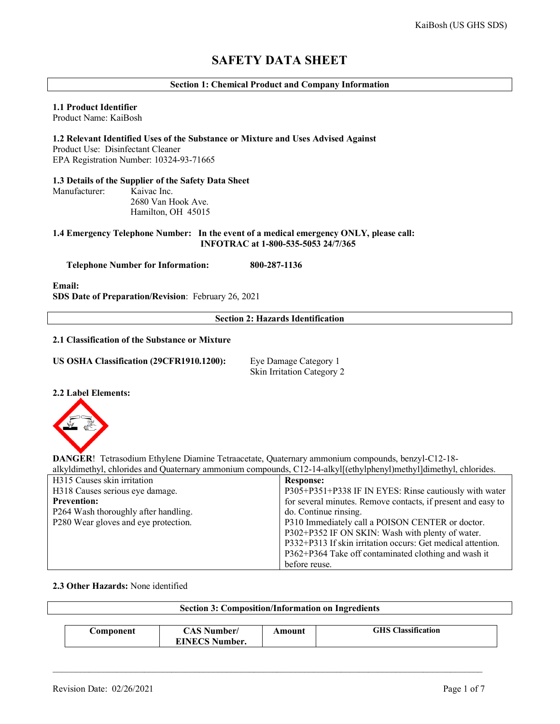# **SAFETY DATA SHEET**

# **Section 1: Chemical Product and Company Information**

# **1.1 Product Identifier**

Manufacturer:

Product Name: KaiBosh

**1.2 Relevant Identified Uses of the Substance or Mixture and Uses Advised Against** Product Use: Disinfectant Cleaner EPA Registration Number: 10324-93-71665

**1.3 Details of the Supplier of the Safety Data Sheet**

 2680 Van Hook Ave. Hamilton, OH 45015

# **1.4 Emergency Telephone Number: In the event of a medical emergency ONLY, please call: INFOTRAC at 1-800-535-5053 24/7/365**

 **Telephone Number for Information: 800-287-1136**

**Email: SDS Date of Preparation/Revision**: February 26, 2021

**Section 2: Hazards Identification**

#### **2.1 Classification of the Substance or Mixture**

**US OSHA Classification (29CFR1910.1200):** Eye Damage Category 1

Skin Irritation Category 2

#### **2.2 Label Elements:**



**DANGER**! Tetrasodium Ethylene Diamine Tetraacetate, Quaternary ammonium compounds, benzyl-C12-18 alkyldimethyl, chlorides and Quaternary ammonium compounds, C12-14-alkyl[(ethylphenyl)methyl]dimethyl, chlorides.

| H315 Causes skin irritation          | <b>Response:</b>                                             |
|--------------------------------------|--------------------------------------------------------------|
| H318 Causes serious eye damage.      | P305+P351+P338 IF IN EYES: Rinse cautiously with water       |
| <b>Prevention:</b>                   | for several minutes. Remove contacts, if present and easy to |
| P264 Wash thoroughly after handling. | do. Continue rinsing.                                        |
| P280 Wear gloves and eye protection. | P310 Immediately call a POISON CENTER or doctor.             |
|                                      | P302+P352 IF ON SKIN: Wash with plenty of water.             |
|                                      | P332+P313 If skin irritation occurs: Get medical attention.  |
|                                      | P362+P364 Take off contaminated clothing and wash it         |
|                                      | before reuse.                                                |

# **2.3 Other Hazards:** None identified

| <b>Section 3: Composition/Information on Ingredients</b> |                                             |        |                           |  |  |
|----------------------------------------------------------|---------------------------------------------|--------|---------------------------|--|--|
| Component                                                | <b>CAS Number/</b><br><b>EINECS Number.</b> | Amount | <b>GHS</b> Classification |  |  |

\_\_\_\_\_\_\_\_\_\_\_\_\_\_\_\_\_\_\_\_\_\_\_\_\_\_\_\_\_\_\_\_\_\_\_\_\_\_\_\_\_\_\_\_\_\_\_\_\_\_\_\_\_\_\_\_\_\_\_\_\_\_\_\_\_\_\_\_\_\_\_\_\_\_\_\_\_\_\_\_\_\_\_\_\_\_\_\_\_\_\_\_\_\_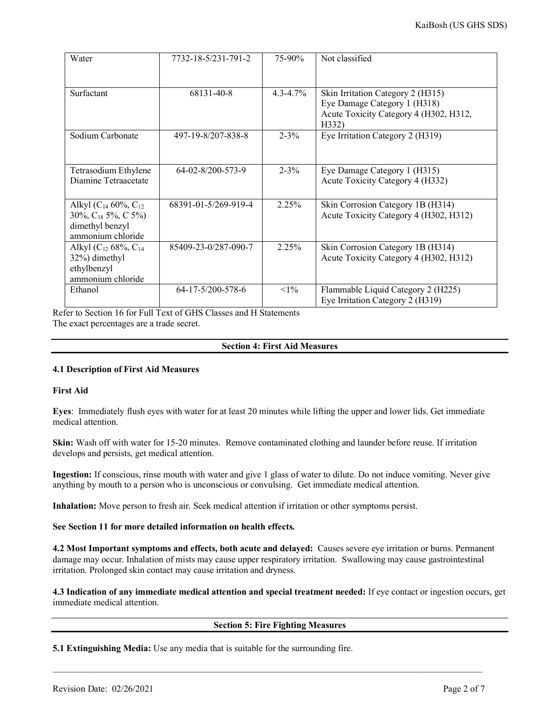| Water                                                                                             | 7732-18-5/231-791-2  | 75-90%        | Not classified                                                                                                       |
|---------------------------------------------------------------------------------------------------|----------------------|---------------|----------------------------------------------------------------------------------------------------------------------|
| Surfactant                                                                                        | 68131-40-8           | $4.3 - 4.7\%$ | Skin Irritation Category 2 (H315)<br>Eye Damage Category 1 (H318)<br>Acute Toxicity Category 4 (H302, H312,<br>H332) |
| Sodium Carbonate                                                                                  | 497-19-8/207-838-8   | $2 - 3\%$     | Eye Irritation Category 2 (H319)                                                                                     |
| Tetrasodium Ethylene<br>Diamine Tetraacetate                                                      | $64-02-8/200-573-9$  | $2 - 3\%$     | Eye Damage Category 1 (H315)<br>Acute Toxicity Category 4 (H332)                                                     |
| Alkyl ( $C_{14}$ 60%, $C_{12}$<br>30%, $C_{18}$ 5%, C 5%)<br>dimethyl benzyl<br>ammonium chloride | 68391-01-5/269-919-4 | 2.25%         | Skin Corrosion Category 1B (H314)<br>Acute Toxicity Category 4 (H302, H312)                                          |
| Alkyl ( $C_{12}$ 68%, $C_{14}$<br>32%) dimethyl<br>ethylbenzyl<br>ammonium chloride               | 85409-23-0/287-090-7 | 2.25%         | Skin Corrosion Category 1B (H314)<br>Acute Toxicity Category 4 (H302, H312)                                          |
| Ethanol                                                                                           | 64-17-5/200-578-6    | $<1\%$        | Flammable Liquid Category 2 (H225)<br>Eye Irritation Category 2 (H319)                                               |

Refer to Section 16 for Full Text of GHS Classes and H Statements The exact percentages are a trade secret.

# **Section 4: First Aid Measures**

# **4.1 Description of First Aid Measures**

#### **First Aid**

**Eyes**: Immediately flush eyes with water for at least 20 minutes while lifting the upper and lower lids. Get immediate medical attention.

**Skin:** Wash off with water for 15-20 minutes. Remove contaminated clothing and launder before reuse. If irritation develops and persists, get medical attention.

**Ingestion:** If conscious, rinse mouth with water and give 1 glass of water to dilute. Do not induce vomiting. Never give anything by mouth to a person who is unconscious or convulsing. Get immediate medical attention.

**Inhalation:** Move person to fresh air. Seek medical attention if irritation or other symptoms persist.

# **See Section 11 for more detailed information on health effects.**

**4.2 Most Important symptoms and effects, both acute and delayed:** Causes severe eye irritation or burns. Permanent damage may occur. Inhalation of mists may cause upper respiratory irritation. Swallowing may cause gastrointestinal irritation. Prolonged skin contact may cause irritation and dryness.

**4.3 Indication of any immediate medical attention and special treatment needed:** If eye contact or ingestion occurs, get immediate medical attention.

#### **Section 5: Fire Fighting Measures**

\_\_\_\_\_\_\_\_\_\_\_\_\_\_\_\_\_\_\_\_\_\_\_\_\_\_\_\_\_\_\_\_\_\_\_\_\_\_\_\_\_\_\_\_\_\_\_\_\_\_\_\_\_\_\_\_\_\_\_\_\_\_\_\_\_\_\_\_\_\_\_\_\_\_\_\_\_\_\_\_\_\_\_\_\_\_\_\_\_\_\_\_\_\_

**5.1 Extinguishing Media:** Use any media that is suitable for the surrounding fire.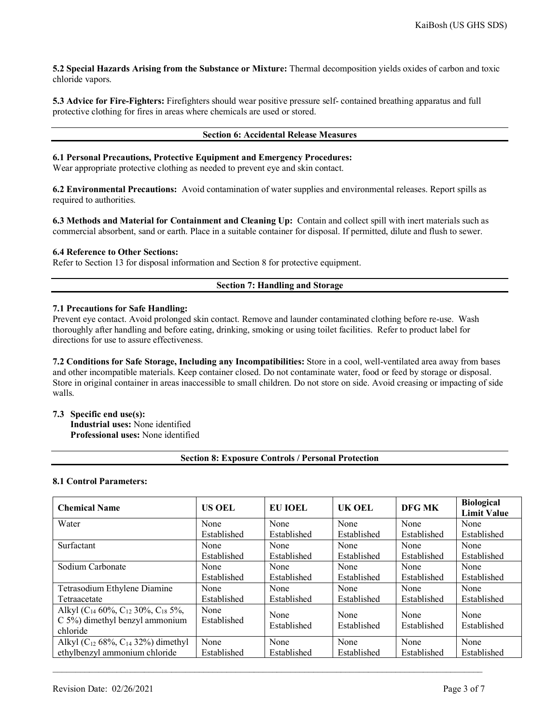**5.2 Special Hazards Arising from the Substance or Mixture:** Thermal decomposition yields oxides of carbon and toxic chloride vapors.

**5.3 Advice for Fire-Fighters:** Firefighters should wear positive pressure self- contained breathing apparatus and full protective clothing for fires in areas where chemicals are used or stored.

## **Section 6: Accidental Release Measures**

# **6.1 Personal Precautions, Protective Equipment and Emergency Procedures:**

Wear appropriate protective clothing as needed to prevent eye and skin contact.

**6.2 Environmental Precautions:** Avoid contamination of water supplies and environmental releases. Report spills as required to authorities.

**6.3 Methods and Material for Containment and Cleaning Up:** Contain and collect spill with inert materials such as commercial absorbent, sand or earth. Place in a suitable container for disposal. If permitted, dilute and flush to sewer.

#### **6.4 Reference to Other Sections:**

Refer to Section 13 for disposal information and Section 8 for protective equipment.

# **Section 7: Handling and Storage**

#### **7.1 Precautions for Safe Handling:**

Prevent eye contact. Avoid prolonged skin contact. Remove and launder contaminated clothing before re-use. Wash thoroughly after handling and before eating, drinking, smoking or using toilet facilities. Refer to product label for directions for use to assure effectiveness.

**7.2 Conditions for Safe Storage, Including any Incompatibilities:** Store in a cool, well-ventilated area away from bases and other incompatible materials. Keep container closed. Do not contaminate water, food or feed by storage or disposal. Store in original container in areas inaccessible to small children. Do not store on side. Avoid creasing or impacting of side walls.

#### **7.3 Specific end use(s):**

**Industrial uses:** None identified **Professional uses:** None identified

#### **Section 8: Exposure Controls / Personal Protection**

#### **8.1 Control Parameters:**

| <b>Chemical Name</b>                                                                           | <b>US OEL</b>       | EU IOEL             | UK OEL              | DFG MK              | <b>Biological</b><br><b>Limit Value</b> |
|------------------------------------------------------------------------------------------------|---------------------|---------------------|---------------------|---------------------|-----------------------------------------|
| Water                                                                                          | None                | None                | None                | None                | None                                    |
|                                                                                                | Established         | Established         | Established         | Established         | Established                             |
| Surfactant                                                                                     | None                | None                | None                | None                | None                                    |
|                                                                                                | Established         | Established         | Established         | Established         | Established                             |
| Sodium Carbonate                                                                               | None                | None                | None                | None                | None                                    |
|                                                                                                | Established         | Established         | Established         | Established         | Established                             |
| Tetrasodium Ethylene Diamine                                                                   | None                | None                | None                | None                | None                                    |
| Tetraacetate                                                                                   | Established         | Established         | Established         | Established         | Established                             |
| Alkyl ( $C_{14}$ 60%, $C_{12}$ 30%, $C_{18}$ 5%,<br>C 5%) dimethyl benzyl ammonium<br>chloride | None<br>Established | None<br>Established | None<br>Established | None<br>Established | None<br>Established                     |
| Alkyl ( $C_{12}$ 68%, $C_{14}$ 32%) dimethyl                                                   | None                | None                | None                | None                | None                                    |
| ethylbenzyl ammonium chloride                                                                  | Established         | Established         | Established         | Established         | Established                             |

\_\_\_\_\_\_\_\_\_\_\_\_\_\_\_\_\_\_\_\_\_\_\_\_\_\_\_\_\_\_\_\_\_\_\_\_\_\_\_\_\_\_\_\_\_\_\_\_\_\_\_\_\_\_\_\_\_\_\_\_\_\_\_\_\_\_\_\_\_\_\_\_\_\_\_\_\_\_\_\_\_\_\_\_\_\_\_\_\_\_\_\_\_\_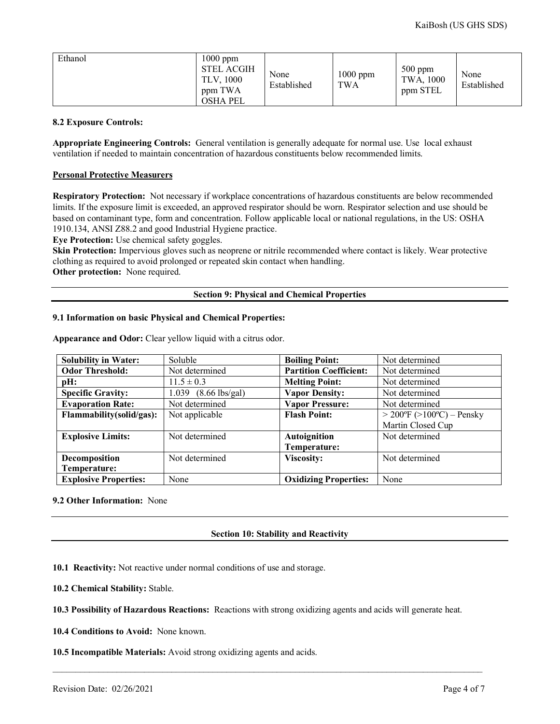| Ethanol | $1000$ ppm<br><b>STEL ACGIH</b><br>TLV, 1000<br>ppm TWA<br><b>OSHA PEL</b> | None<br>Established | 1000 ppm<br><b>TWA</b> | $500$ ppm<br>TWA, 1000<br>ppm STEL | None<br>Established |
|---------|----------------------------------------------------------------------------|---------------------|------------------------|------------------------------------|---------------------|
|---------|----------------------------------------------------------------------------|---------------------|------------------------|------------------------------------|---------------------|

#### **8.2 Exposure Controls:**

**Appropriate Engineering Controls:** General ventilation is generally adequate for normal use. Use local exhaust ventilation if needed to maintain concentration of hazardous constituents below recommended limits.

#### **Personal Protective Measurers**

**Respiratory Protection:** Not necessary if workplace concentrations of hazardous constituents are below recommended limits. If the exposure limit is exceeded, an approved respirator should be worn. Respirator selection and use should be based on contaminant type, form and concentration. Follow applicable local or national regulations, in the US: OSHA 1910.134, ANSI Z88.2 and good Industrial Hygiene practice.

**Eye Protection:** Use chemical safety goggles.

**Skin Protection:** Impervious gloves such as neoprene or nitrile recommended where contact is likely. Wear protective clothing as required to avoid prolonged or repeated skin contact when handling.

**Other protection:** None required.

# **Section 9: Physical and Chemical Properties**

#### **9.1 Information on basic Physical and Chemical Properties:**

| <b>Solubility in Water:</b>  | Soluble                          | <b>Boiling Point:</b>         | Not determined                  |
|------------------------------|----------------------------------|-------------------------------|---------------------------------|
| <b>Odor Threshold:</b>       | Not determined                   | <b>Partition Coefficient:</b> | Not determined                  |
| pH:                          | $11.5 \pm 0.3$                   | <b>Melting Point:</b>         | Not determined                  |
| <b>Specific Gravity:</b>     | $1.039$ $(8.66 \text{ lbs/gal})$ | <b>Vapor Density:</b>         | Not determined                  |
| <b>Evaporation Rate:</b>     | Not determined                   | <b>Vapor Pressure:</b>        | Not determined                  |
| Flammability(solid/gas):     | Not applicable                   | <b>Flash Point:</b>           | $>$ 200°F ( $>$ 100°C) – Pensky |
|                              |                                  |                               | Martin Closed Cup               |
| <b>Explosive Limits:</b>     | Not determined                   | <b>Autoignition</b>           | Not determined                  |
|                              |                                  | Temperature:                  |                                 |
| Decomposition                | Not determined                   | <b>Viscosity:</b>             | Not determined                  |
| Temperature:                 |                                  |                               |                                 |
| <b>Explosive Properties:</b> | None                             | <b>Oxidizing Properties:</b>  | None                            |

**Appearance and Odor:** Clear yellow liquid with a citrus odor.

# **9.2 Other Information:** None

# **Section 10: Stability and Reactivity**

**10.1 Reactivity:** Not reactive under normal conditions of use and storage.

**10.2 Chemical Stability:** Stable.

**10.3 Possibility of Hazardous Reactions:** Reactions with strong oxidizing agents and acids will generate heat.

\_\_\_\_\_\_\_\_\_\_\_\_\_\_\_\_\_\_\_\_\_\_\_\_\_\_\_\_\_\_\_\_\_\_\_\_\_\_\_\_\_\_\_\_\_\_\_\_\_\_\_\_\_\_\_\_\_\_\_\_\_\_\_\_\_\_\_\_\_\_\_\_\_\_\_\_\_\_\_\_\_\_\_\_\_\_\_\_\_\_\_\_\_\_

**10.4 Conditions to Avoid:** None known.

**10.5 Incompatible Materials:** Avoid strong oxidizing agents and acids.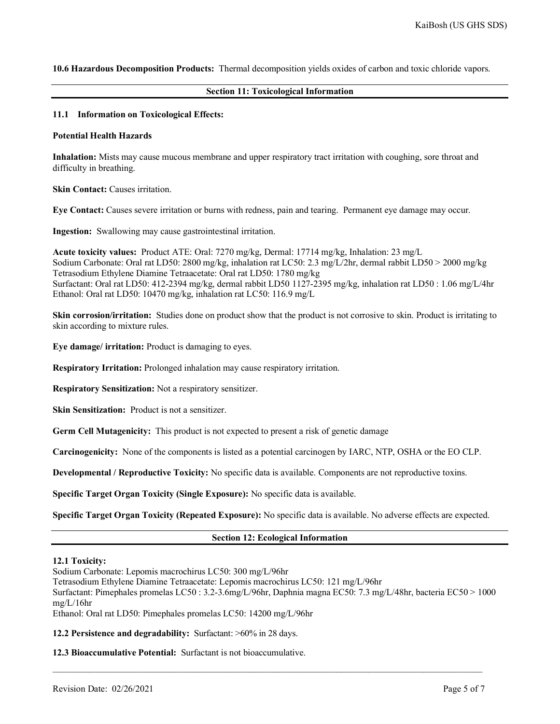**10.6 Hazardous Decomposition Products:** Thermal decomposition yields oxides of carbon and toxic chloride vapors.

#### **Section 11: Toxicological Information**

#### **11.1 Information on Toxicological Effects:**

#### **Potential Health Hazards**

**Inhalation:** Mists may cause mucous membrane and upper respiratory tract irritation with coughing, sore throat and difficulty in breathing.

**Skin Contact:** Causes irritation.

**Eye Contact:** Causes severe irritation or burns with redness, pain and tearing. Permanent eye damage may occur.

**Ingestion:** Swallowing may cause gastrointestinal irritation.

**Acute toxicity values:** Product ATE: Oral: 7270 mg/kg, Dermal: 17714 mg/kg, Inhalation: 23 mg/L Sodium Carbonate: Oral rat LD50: 2800 mg/kg, inhalation rat LC50: 2.3 mg/L/2hr, dermal rabbit LD50 > 2000 mg/kg Tetrasodium Ethylene Diamine Tetraacetate: Oral rat LD50: 1780 mg/kg Surfactant: Oral rat LD50: 412-2394 mg/kg, dermal rabbit LD50 1127-2395 mg/kg, inhalation rat LD50 : 1.06 mg/L/4hr Ethanol: Oral rat LD50: 10470 mg/kg, inhalation rat LC50: 116.9 mg/L

**Skin corrosion/irritation:** Studies done on product show that the product is not corrosive to skin. Product is irritating to skin according to mixture rules.

**Eye damage/ irritation:** Product is damaging to eyes.

**Respiratory Irritation:** Prolonged inhalation may cause respiratory irritation.

**Respiratory Sensitization:** Not a respiratory sensitizer.

**Skin Sensitization:** Product is not a sensitizer.

**Germ Cell Mutagenicity:** This product is not expected to present a risk of genetic damage

**Carcinogenicity:** None of the components is listed as a potential carcinogen by IARC, NTP, OSHA or the EO CLP.

**Developmental / Reproductive Toxicity:** No specific data is available. Components are not reproductive toxins.

**Specific Target Organ Toxicity (Single Exposure):** No specific data is available.

**Specific Target Organ Toxicity (Repeated Exposure):** No specific data is available. No adverse effects are expected.

#### **Section 12: Ecological Information**

#### **12.1 Toxicity:**

Sodium Carbonate: Lepomis macrochirus LC50: 300 mg/L/96hr

Tetrasodium Ethylene Diamine Tetraacetate: Lepomis macrochirus LC50: 121 mg/L/96hr

Surfactant: Pimephales promelas LC50 : 3.2-3.6mg/L/96hr, Daphnia magna EC50: 7.3 mg/L/48hr, bacteria EC50 > 1000 mg/L/16hr

\_\_\_\_\_\_\_\_\_\_\_\_\_\_\_\_\_\_\_\_\_\_\_\_\_\_\_\_\_\_\_\_\_\_\_\_\_\_\_\_\_\_\_\_\_\_\_\_\_\_\_\_\_\_\_\_\_\_\_\_\_\_\_\_\_\_\_\_\_\_\_\_\_\_\_\_\_\_\_\_\_\_\_\_\_\_\_\_\_\_\_\_\_\_

Ethanol: Oral rat LD50: Pimephales promelas LC50: 14200 mg/L/96hr

**12.2 Persistence and degradability:** Surfactant: >60% in 28 days.

**12.3 Bioaccumulative Potential:** Surfactant is not bioaccumulative.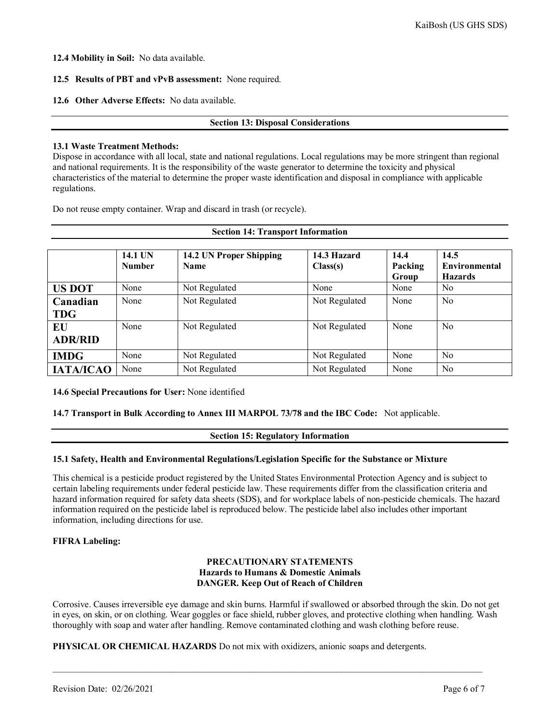**12.4 Mobility in Soil:** No data available.

# **12.5 Results of PBT and vPvB assessment:** None required.

# **12.6 Other Adverse Effects:** No data available.

# **Section 13: Disposal Considerations**

# **13.1 Waste Treatment Methods:**

Dispose in accordance with all local, state and national regulations. Local regulations may be more stringent than regional and national requirements. It is the responsibility of the waste generator to determine the toxicity and physical characteristics of the material to determine the proper waste identification and disposal in compliance with applicable regulations.

**Section 14: Transport Information**

Do not reuse empty container. Wrap and discard in trash (or recycle).

|                        | 14.1 UN<br><b>Number</b> | 14.2 UN Proper Shipping<br><b>Name</b> | 14.3 Hazard<br>Class(s) | 14.4<br>Packing<br>Group | 14.5<br><b>Environmental</b><br><b>Hazards</b> |
|------------------------|--------------------------|----------------------------------------|-------------------------|--------------------------|------------------------------------------------|
| <b>US DOT</b>          | None                     | Not Regulated                          | None                    | None                     | N <sub>0</sub>                                 |
| Canadian<br><b>TDG</b> | None                     | Not Regulated                          | Not Regulated           | None                     | No                                             |
| EU<br><b>ADR/RID</b>   | None                     | Not Regulated                          | Not Regulated           | None                     | No                                             |
| <b>IMDG</b>            | None                     | Not Regulated                          | Not Regulated           | None                     | N <sub>o</sub>                                 |
| <b>IATA/ICAO</b>       | None                     | Not Regulated                          | Not Regulated           | None                     | N <sub>o</sub>                                 |

**14.6 Special Precautions for User:** None identified

#### **14.7 Transport in Bulk According to Annex III MARPOL 73/78 and the IBC Code:** Not applicable.

#### **Section 15: Regulatory Information**

# **15.1 Safety, Health and Environmental Regulations/Legislation Specific for the Substance or Mixture**

This chemical is a pesticide product registered by the United States Environmental Protection Agency and is subject to certain labeling requirements under federal pesticide law. These requirements differ from the classification criteria and hazard information required for safety data sheets (SDS), and for workplace labels of non-pesticide chemicals. The hazard information required on the pesticide label is reproduced below. The pesticide label also includes other important information, including directions for use.

#### **FIFRA Labeling:**

# **PRECAUTIONARY STATEMENTS Hazards to Humans & Domestic Animals DANGER. Keep Out of Reach of Children**

Corrosive. Causes irreversible eye damage and skin burns. Harmful if swallowed or absorbed through the skin. Do not get in eyes, on skin, or on clothing. Wear goggles or face shield, rubber gloves, and protective clothing when handling. Wash thoroughly with soap and water after handling. Remove contaminated clothing and wash clothing before reuse.

\_\_\_\_\_\_\_\_\_\_\_\_\_\_\_\_\_\_\_\_\_\_\_\_\_\_\_\_\_\_\_\_\_\_\_\_\_\_\_\_\_\_\_\_\_\_\_\_\_\_\_\_\_\_\_\_\_\_\_\_\_\_\_\_\_\_\_\_\_\_\_\_\_\_\_\_\_\_\_\_\_\_\_\_\_\_\_\_\_\_\_\_\_\_

**PHYSICAL OR CHEMICAL HAZARDS** Do not mix with oxidizers, anionic soaps and detergents.